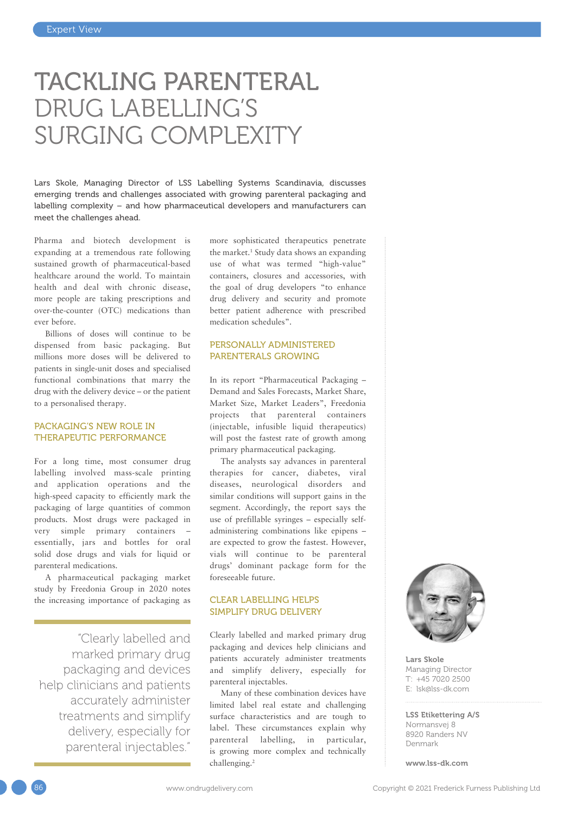# TACKLING PARENTERAL DRUG LABELLING'S SURGING COMPLEXITY

Lars Skole, Managing Director of LSS Labelling Systems Scandinavia, discusses emerging trends and challenges associated with growing parenteral packaging and labelling complexity – and how pharmaceutical developers and manufacturers can meet the challenges ahead.

Pharma and biotech development is expanding at a tremendous rate following sustained growth of pharmaceutical-based healthcare around the world. To maintain health and deal with chronic disease, more people are taking prescriptions and over-the-counter (OTC) medications than ever before.

Billions of doses will continue to be dispensed from basic packaging. But millions more doses will be delivered to patients in single-unit doses and specialised functional combinations that marry the drug with the delivery device – or the patient to a personalised therapy.

#### PACKAGING'S NEW ROLE IN THERAPEUTIC PERFORMANCE

For a long time, most consumer drug labelling involved mass-scale printing and application operations and the high-speed capacity to efficiently mark the packaging of large quantities of common products. Most drugs were packaged in very simple primary containers – essentially, jars and bottles for oral solid dose drugs and vials for liquid or parenteral medications.

A pharmaceutical packaging market study by Freedonia Group in 2020 notes the increasing importance of packaging as

"Clearly labelled and marked primary drug packaging and devices help clinicians and patients accurately administer treatments and simplify delivery, especially for parenteral injectables."

more sophisticated therapeutics penetrate the market.<sup>1</sup> Study data shows an expanding use of what was termed "high-value" containers, closures and accessories, with the goal of drug developers "to enhance drug delivery and security and promote better patient adherence with prescribed medication schedules".

## PERSONALLY ADMINISTERED PARENTERALS GROWING

In its report "Pharmaceutical Packaging – Demand and Sales Forecasts, Market Share, Market Size, Market Leaders", Freedonia projects that parenteral containers (injectable, infusible liquid therapeutics) will post the fastest rate of growth among primary pharmaceutical packaging.

The analysts say advances in parenteral therapies for cancer, diabetes, viral diseases, neurological disorders and similar conditions will support gains in the segment. Accordingly, the report says the use of prefillable syringes – especially selfadministering combinations like epipens – are expected to grow the fastest. However, vials will continue to be parenteral drugs' dominant package form for the foreseeable future.

### CLEAR LABELLING HELPS SIMPLIFY DRUG DELIVERY

Clearly labelled and marked primary drug packaging and devices help clinicians and patients accurately administer treatments and simplify delivery, especially for parenteral injectables.

Many of these combination devices have limited label real estate and challenging surface characteristics and are tough to label. These circumstances explain why parenteral labelling, in particular, is growing more complex and technically challenging.<sup>2</sup>



Lars Skole Managing Director T: +45 7020 2500 E: [lsk@lss-dk.com](mailto:lsk@lss-dk.com)

LSS Etikettering A/S Normansvej 8 8920 Randers NV Denmark

[www.lss-dk.com](http://www.lss-dk.com)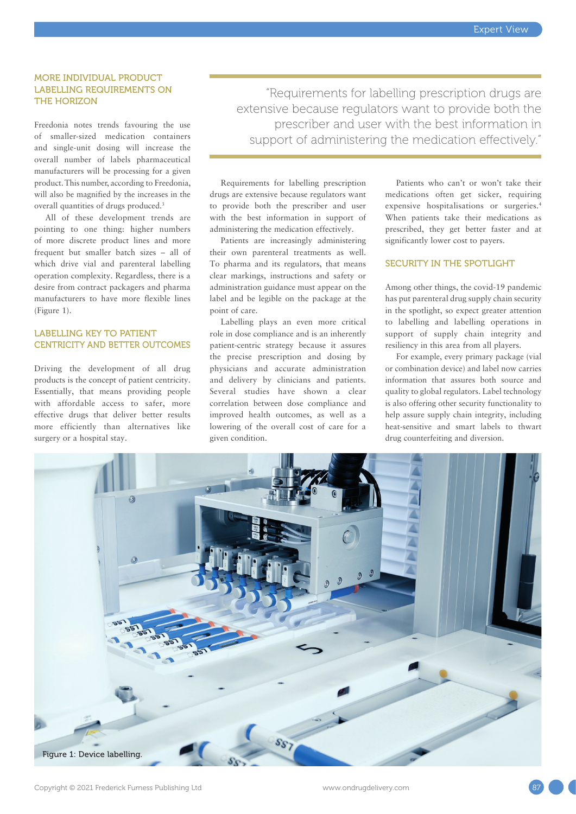#### MORE INDIVIDUAL PRODUCT LABELLING REQUIREMENTS ON THE HORIZON

Freedonia notes trends favouring the use of smaller-sized medication containers and single-unit dosing will increase the overall number of labels pharmaceutical manufacturers will be processing for a given product. This number, according to Freedonia, will also be magnified by the increases in the overall quantities of drugs produced.<sup>3</sup>

All of these development trends are pointing to one thing: higher numbers of more discrete product lines and more frequent but smaller batch sizes – all of which drive vial and parenteral labelling operation complexity. Regardless, there is a desire from contract packagers and pharma manufacturers to have more flexible lines (Figure 1).

# LABELLING KEY TO PATIENT CENTRICITY AND BETTER OUTCOMES

Driving the development of all drug products is the concept of patient centricity. Essentially, that means providing people with affordable access to safer, more effective drugs that deliver better results more efficiently than alternatives like surgery or a hospital stay.

"Requirements for labelling prescription drugs are extensive because regulators want to provide both the prescriber and user with the best information in support of administering the medication effectively."

Requirements for labelling prescription drugs are extensive because regulators want to provide both the prescriber and user with the best information in support of administering the medication effectively.

Patients are increasingly administering their own parenteral treatments as well. To pharma and its regulators, that means clear markings, instructions and safety or administration guidance must appear on the label and be legible on the package at the point of care.

Labelling plays an even more critical role in dose compliance and is an inherently patient-centric strategy because it assures the precise prescription and dosing by physicians and accurate administration and delivery by clinicians and patients. Several studies have shown a clear correlation between dose compliance and improved health outcomes, as well as a lowering of the overall cost of care for a given condition.

Patients who can't or won't take their medications often get sicker, requiring expensive hospitalisations or surgeries.4 When patients take their medications as prescribed, they get better faster and at significantly lower cost to payers.

#### SECURITY IN THE SPOTLIGHT

Among other things, the covid-19 pandemic has put parenteral drug supply chain security in the spotlight, so expect greater attention to labelling and labelling operations in support of supply chain integrity and resiliency in this area from all players.

For example, every primary package (vial or combination device) and label now carries information that assures both source and quality to global regulators. Label technology is also offering other security functionality to help assure supply chain integrity, including heat-sensitive and smart labels to thwart drug counterfeiting and diversion.